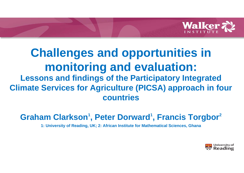

## **Challenges and opportunities in monitoring and evaluation: Lessons and findings of the Participatory Integrated Climate Services for Agriculture (PICSA) approach in four countries**

### Graham Clarkson<sup>1</sup>, Peter Dorward<sup>1</sup>, Francis Torgbor<sup>2</sup>

**1: University of Reading, UK; 2: African Institute for Mathematical Sciences, Ghana**

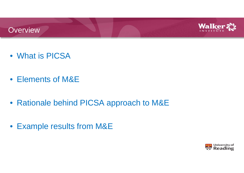



- What is PICSA
- Elements of M&E
- Rationale behind PICSA approach to M&E
- Example results from M&E

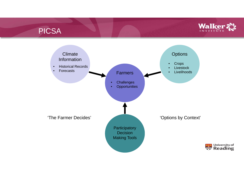#### PICSA



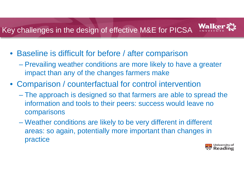#### **Walke** Key challenges in the design of effective M&E for PICSA

- Baseline is difficult for before / after comparison
	- Prevailing weather conditions are more likely to have a greater impact than any of the changes farmers make
- Comparison / counterfactual for control intervention
	- The approach is designed so that farmers are able to spread the information and tools to their peers: success would leave no comparisons
	- Weather conditions are likely to be very different in different areas: so again, potentially more important than changes in practice

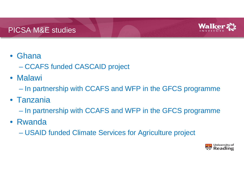

#### • Ghana

- CCAFS funded CASCAID project
- Malawi
	- –In partnership with CCAFS and WFP in the GFCS programme
- Tanzania
	- –In partnership with CCAFS and WFP in the GFCS programme
- Rwanda
	- –USAID funded Climate Services for Agriculture project

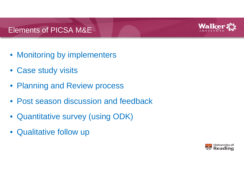#### Elements of PICSA M&E



- Monitoring by implementers
- Case study visits
- Planning and Review process
- Post season discussion and feedback
- Quantitative survey (using ODK)
- Qualitative follow up

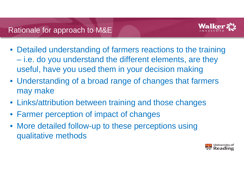

- Detailed understanding of farmers reactions to the training i.e. do you understand the different elements, are they useful, have you used them in your decision making
- Understanding of a broad range of changes that farmers may make
- Links/attribution between training and those changes
- Farmer perception of impact of changes
- More detailed follow-up to these perceptions using qualitative methods

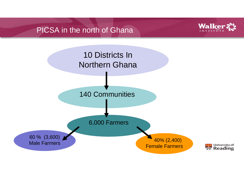#### PICSA in the north of Ghana



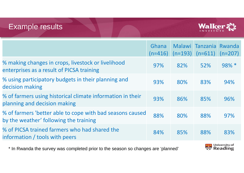#### Example results



|                                                                                                     | Ghana<br>$(n=416)$ | $(n=193)$ | Malawi Tanzania<br>$(n=611)$ | Rwanda<br>$(n=207)$ |
|-----------------------------------------------------------------------------------------------------|--------------------|-----------|------------------------------|---------------------|
| % making changes in crops, livestock or livelihood<br>enterprises as a result of PICSA training     | 97%                | 82%       | 52%                          | 98% *               |
| % using participatory budgets in their planning and<br>decision making                              | 93%                | 80%       | 83%                          | 94%                 |
| % of farmers using historical climate information in their<br>planning and decision making          | 93%                | 86%       | 85%                          | 96%                 |
| % of farmers 'better able to cope with bad seasons caused<br>by the weather' following the training |                    | 80%       | 88%                          | 97%                 |
| % of PICSA trained farmers who had shared the<br>information / tools with peers                     | 84%                | 85%       | 88%                          | 83%                 |
|                                                                                                     |                    |           |                              |                     |

\* In Rwanda the survey was completed prior to the season so changes are 'planned'

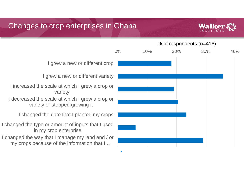#### Changes to crop enterprises in Ghana



# 0% 10% 20% 30% 40%I grew a new or different crop I grew a new or different variety variety in my crop enterprise % of respondents (n=416)

I increased the scale at which I grew a crop or

I decreased the scale at which I grew a crop or variety or stopped growing it

I changed the date that I planted my crops

I changed the type or amount of inputs that I used

I changed the way that I manage my land and / or my crops because of the information that I…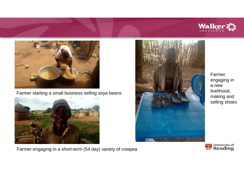



Farmer starting a small business selling soya beans







Farmer engaging in a new livelihood, making and selling shoes

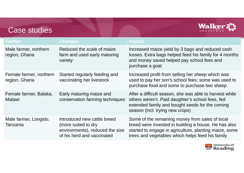

| <b>Farmer</b>                            | <b>Changes</b>                                                                                                      | <b>Impact</b>                                                                                                                                                                                                         |
|------------------------------------------|---------------------------------------------------------------------------------------------------------------------|-----------------------------------------------------------------------------------------------------------------------------------------------------------------------------------------------------------------------|
| Male farmer, northern<br>region, Ghana   | Reduced the scale of maize<br>farm and used early maturing<br>variety                                               | Increased maize yield by 3 bags and reduced cash<br>losses. Extra bags helped feed his family for 4 months<br>and money saved helped pay school fees and<br>purchase a goat                                           |
| Female farmer, northern<br>region, Ghana | Started regularly feeding and<br>vaccinating her livestock                                                          | Increased profit from selling her sheep which was<br>used to pay her son's school fees; some was used to<br>purchase food and some to purchase two sheep                                                              |
| Female farmer, Balaka,<br><b>Malawi</b>  | Early maturing maize and<br>conservation farming techniques                                                         | After a difficult season, she was able to harvest while<br>others weren't. Paid daughter's school fees, fed<br>extended family and bought seeds for the coming<br>season (incl. trying new crops)                     |
| Male farmer, Longido,<br>Tanzania        | Introduced new cattle breed<br>(more suited to dry<br>environments), reduced the size<br>of his herd and vaccinated | Some of the remaining money from sales of local<br>breed were invested in building a house. He has also<br>started to engage in agriculture, planting maize, some<br>trees and vegetables which helps feed his family |

Case studies

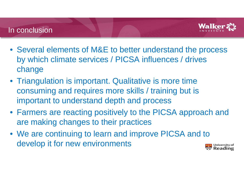#### In conclusion



- Several elements of M&E to better understand the process by which climate services / PICSA influences / drives change
- Triangulation is important. Qualitative is more time consuming and requires more skills / training but is important to understand depth and process
- Farmers are reacting positively to the PICSA approach and are making changes to their practices
- We are continuing to learn and improve PICSA and to develop it for new environments